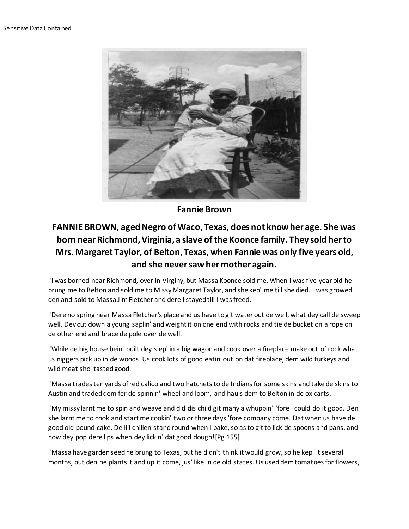

**Fannie Brown**

## **FANNIE BROWN, aged Negro of Waco, Texas, does not know her age. She was born near Richmond, Virginia, a slave of the Koonce family. They sold her to Mrs. Margaret Taylor, of Belton, Texas, when Fannie was only five years old, and she never saw her mother again.**

"I was borned near Richmond, over in Virginy, but Massa Koonce sold me. When I was five year old he brung me to Belton and sold me to Missy Margaret Taylor, and she kep' me till she died. I was growed den and sold to Massa Jim Fletcher and dere I stayed till I was freed.

"Dere no spring near Massa Fletcher's place and us have to git water out de well, what dey call de sweep well. Dey cut down a young saplin' and weight it on one end with rocks and tie de bucket on a rope on de other end and brace de pole over de well.

"While de big house bein' built dey slep' in a big wagon and cook over a fireplace make out of rock what us niggers pick up in de woods. Us cook lots of good eatin' out on dat fireplace, dem wild turkeys and wild meat sho' tasted good.

"Massa trades ten yards of red calico and two hatchets to de Indians for some skins and take de skins to Austin and traded dem fer de spinnin' wheel and loom, and hauls dem to Belton in de ox carts.

"My missy larnt me to spin and weave and did dis child git many a whuppin' 'fore I could do it good. Den she larnt me to cook and start me cookin' two or three days 'fore company come. Dat when us have de good old pound cake. De li'l chillen stand round when I bake, so as to git to lick de spoons and pans, and how dey pop dere lips when dey lickin' dat good dough![Pg 155]

"Massa have garden seed he brung to Texas, but he didn't think it would grow, so he kep' it several months, but den he plants it and up it come, jus' like in de old states. Us used dem tomatoes for flowers,